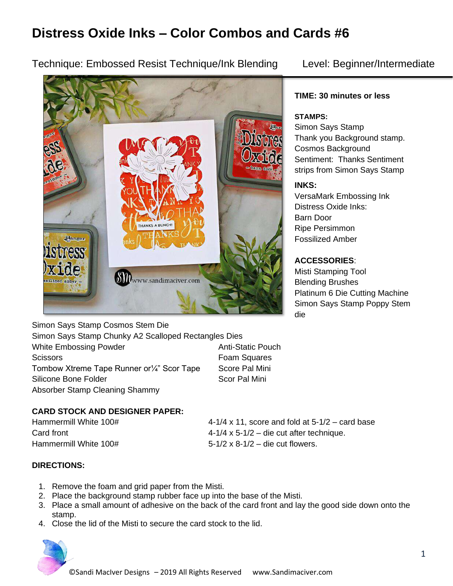# **Distress Oxide Inks – Color Combos and Cards #6**

Technique: Embossed Resist Technique/Ink Blending Level: Beginner/Intermediate



# Simon Says Stamp Cosmos Stem Die

Simon Says Stamp Chunky A2 Scalloped Rectangles Dies White Embossing Powder **Anti-Static Pouch** Scissors **Foam Squares** Foam Squares Tombow Xtreme Tape Runner or<sup>1</sup>/<sub>4</sub>" Scor Tape Score Pal Mini Silicone Bone Folder Scor Pal Mini Absorber Stamp Cleaning Shammy

## **CARD STOCK AND DESIGNER PAPER:**

Hammermill White 100# 100 and the 4-1/4 x 11, score and fold at 5-1/2 – card base Card front  $4-1/4 \times 5-1/2$  – die cut after technique. Hammermill White 100# 5-1/2 x 8-1/2 – die cut flowers.

### **DIRECTIONS:**

- 1. Remove the foam and grid paper from the Misti.
- 2. Place the background stamp rubber face up into the base of the Misti.
- 3. Place a small amount of adhesive on the back of the card front and lay the good side down onto the stamp.
- 4. Close the lid of the Misti to secure the card stock to the lid.



### 1

# **TIME: 30 minutes or less**

### **STAMPS:**

Simon Says Stamp Thank you Background stamp. Cosmos Background Sentiment: Thanks Sentiment strips from Simon Says Stamp

### **INKS:**

VersaMark Embossing Ink Distress Oxide Inks: Barn Door Ripe Persimmon Fossilized Amber

### **ACCESSORIES**:

Misti Stamping Tool Blending Brushes Platinum 6 Die Cutting Machine Simon Says Stamp Poppy Stem die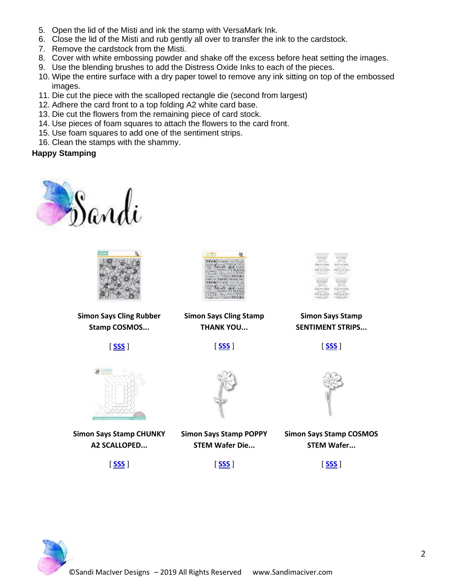- 5. Open the lid of the Misti and ink the stamp with VersaMark Ink.
- 6. Close the lid of the Misti and rub gently all over to transfer the ink to the cardstock.
- 7. Remove the cardstock from the Misti.
- 8. Cover with white embossing powder and shake off the excess before heat setting the images.
- 9. Use the blending brushes to add the Distress Oxide Inks to each of the pieces.
- 10. Wipe the entire surface with a dry paper towel to remove any ink sitting on top of the embossed images.
- 11. Die cut the piece with the scalloped rectangle die (second from largest)
- 12. Adhere the card front to a top folding A2 white card base.
- 13. Die cut the flowers from the remaining piece of card stock.
- 14. Use pieces of foam squares to attach the flowers to the card front.
- 15. Use foam squares to add one of the sentiment strips.
- 16. Clean the stamps with the shammy.

### **Happy Stamping**









**Simon Says Stamp SENTIMENT STRIPS...**

[ **[SSS](https://ldli.co/e/53611x)** ]

[ **[SSS](https://ldli.co/e/45nxx0)** ]

**Simon Says Cling Rubber Stamp COSMOS...**



**Simon Says Stamp CHUNKY A2 SCALLOPED...**

[ **[SSS](https://ldli.co/e/327llx)** ]



**Simon Says Cling Stamp THANK YOU...**



**Simon Says Stamp POPPY STEM Wafer Die...**

[ **[SSS](https://ldli.co/e/mopkkr)** ]



**Simon Says Stamp COSMOS STEM Wafer...**

[ **[SSS](https://ldli.co/e/ed6000)** ]

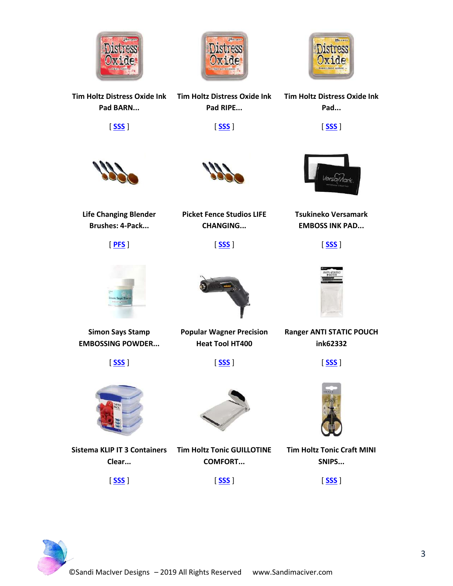





**Tim Holtz Distress Oxide Ink Pad BARN... Tim Holtz Distress Oxide Ink Pad RIPE...**

[ **[SSS](https://ldli.co/e/q3pggx)** ]

[ **[SSS](https://ldli.co/e/jn5dd4)** ]





**Picket Fence Studios LIFE CHANGING...**

[ **[SSS](https://ldli.co/e/rmo00l)** ]

**Life Changing Blender Brushes: 4-Pack...**

[ **[PFS](https://ldli.co/e/p5r664)** ]



**Simon Says Stamp EMBOSSING POWDER...**





**Sistema KLIP IT 3 Containers Clear...**

[ **[SSS](https://ldli.co/e/d1nggm)** ]



**Popular Wagner Precision Heat Tool HT400**

[ **[SSS](https://ldli.co/e/x1pzz4)** ]

**Tim Holtz Tonic GUILLOTINE COMFORT...**

[ **[SSS](https://ldli.co/e/zzpkg1)** ]



**Pad...**

[ **[SSS](https://ldli.co/e/ydp99p)** ]



**Tsukineko Versamark EMBOSS INK PAD...**





**Ranger ANTI STATIC POUCH ink62332**

[ **[SSS](https://ldli.co/e/109yy1)** ]



**Tim Holtz Tonic Craft MINI SNIPS...**

[ **[SSS](https://ldli.co/e/9j2kxd)** ]